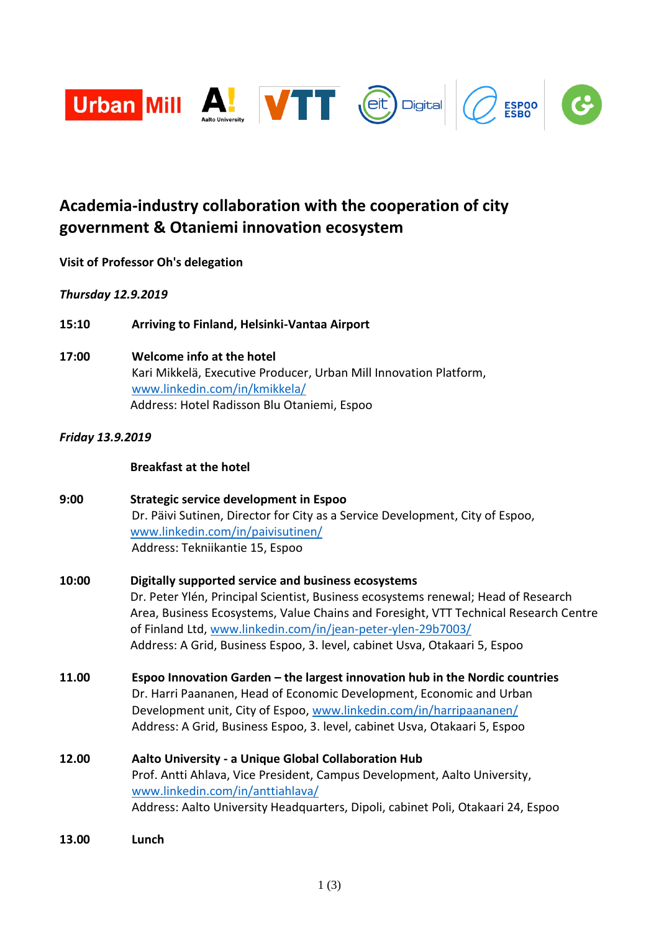

# **Academia-industry collaboration with the cooperation of city government & Otaniemi innovation ecosystem**

# **Visit of Professor Oh's delegation**

# *Thursday 12.9.2019*

- **15:10 Arriving to Finland, Helsinki-Vantaa Airport**
- **17:00 Welcome info at the hotel** Kari Mikkelä, Executive Producer, Urban Mill Innovation Platform, [www.linkedin.com/in/kmikkela/](http://www.linkedin.com/in/kmikkela/) Address: Hotel Radisson Blu Otaniemi, Espoo

# *Friday 13.9.2019*

## **Breakfast at the hotel**

| 9:00  | Strategic service development in Espoo<br>Dr. Päivi Sutinen, Director for City as a Service Development, City of Espoo,<br>www.linkedin.com/in/paivisutinen/<br>Address: Tekniikantie 15, Espoo                                                                                                                                                                                 |
|-------|---------------------------------------------------------------------------------------------------------------------------------------------------------------------------------------------------------------------------------------------------------------------------------------------------------------------------------------------------------------------------------|
| 10:00 | Digitally supported service and business ecosystems<br>Dr. Peter Ylén, Principal Scientist, Business ecosystems renewal; Head of Research<br>Area, Business Ecosystems, Value Chains and Foresight, VTT Technical Research Centre<br>of Finland Ltd, www.linkedin.com/in/jean-peter-ylen-29b7003/<br>Address: A Grid, Business Espoo, 3. level, cabinet Usva, Otakaari 5, Espoo |
| 11.00 | Espoo Innovation Garden - the largest innovation hub in the Nordic countries<br>Dr. Harri Paananen, Head of Economic Development, Economic and Urban<br>Development unit, City of Espoo, www.linkedin.com/in/harripaananen/<br>Address: A Grid, Business Espoo, 3. level, cabinet Usva, Otakaari 5, Espoo                                                                       |
| 12.00 | Aalto University - a Unique Global Collaboration Hub<br>Prof. Antti Ahlava, Vice President, Campus Development, Aalto University,<br>www.linkedin.com/in/anttiahlava/<br>Address: Aalto University Headquarters, Dipoli, cabinet Poli, Otakaari 24, Espoo                                                                                                                       |

**13.00 Lunch**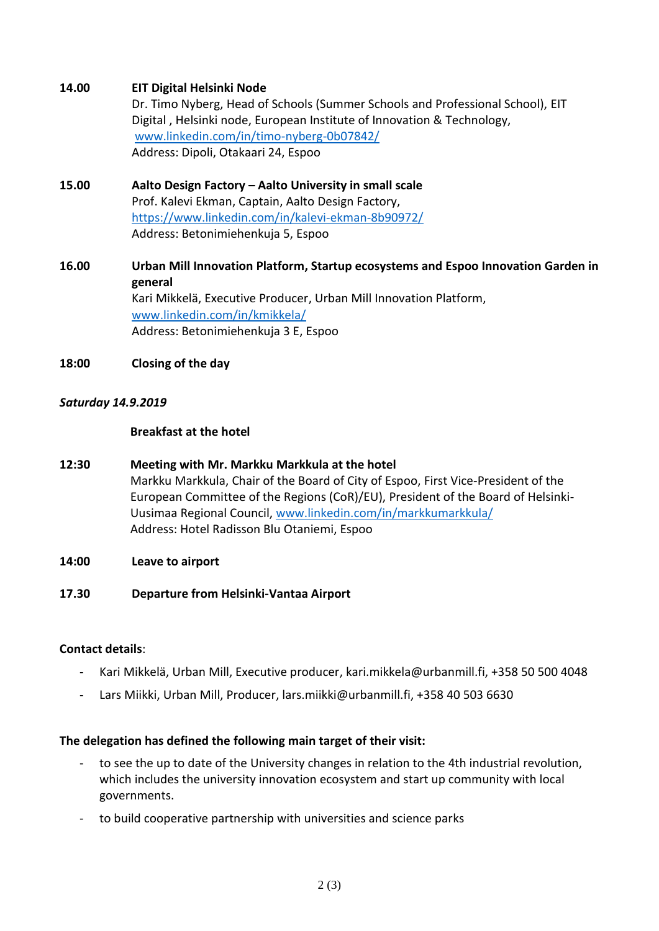## **14.00 EIT Digital Helsinki Node**

Dr. Timo Nyberg, Head of Schools (Summer Schools and Professional School), EIT Digital , Helsinki node, European Institute of Innovation & Technology, [www.linkedin.com/in/timo-nyberg-0b07842/](http://www.linkedin.com/in/timo-nyberg-0b07842/) Address: Dipoli, Otakaari 24, Espoo

**15.00 Aalto Design Factory – Aalto University in small scale** Prof. Kalevi Ekman, Captain, Aalto Design Factory, <https://www.linkedin.com/in/kalevi-ekman-8b90972/> Address: Betonimiehenkuja 5, Espoo

# **16.00 Urban Mill Innovation Platform, Startup ecosystems and Espoo Innovation Garden in general** Kari Mikkelä, Executive Producer, Urban Mill Innovation Platform, [www.linkedin.com/in/kmikkela/](http://www.linkedin.com/in/kmikkela/) Address: Betonimiehenkuja 3 E, Espoo

## **18:00 Closing of the day**

### *Saturday 14.9.2019*

### **Breakfast at the hotel**

- **12:30 Meeting with Mr. Markku Markkula at the hotel** Markku Markkula, Chair of the Board of City of Espoo, First Vice-President of the European Committee of the Regions (CoR)/EU), President of the Board of Helsinki-Uusimaa Regional Council, [www.linkedin.com/in/markkumarkkula/](http://www.linkedin.com/in/markkumarkkula/) Address: Hotel Radisson Blu Otaniemi, Espoo
- **14:00 Leave to airport**
- **17.30 Departure from Helsinki-Vantaa Airport**

### **Contact details**:

- Kari Mikkelä, Urban Mill, Executive producer, kari.mikkela@urbanmill.fi, +358 50 500 4048
- Lars Miikki, Urban Mill, Producer, lars.miikki@urbanmill.fi, +358 40 503 6630

### **The delegation has defined the following main target of their visit:**

- to see the up to date of the University changes in relation to the 4th industrial revolution, which includes the university innovation ecosystem and start up community with local governments.
- to build cooperative partnership with universities and science parks